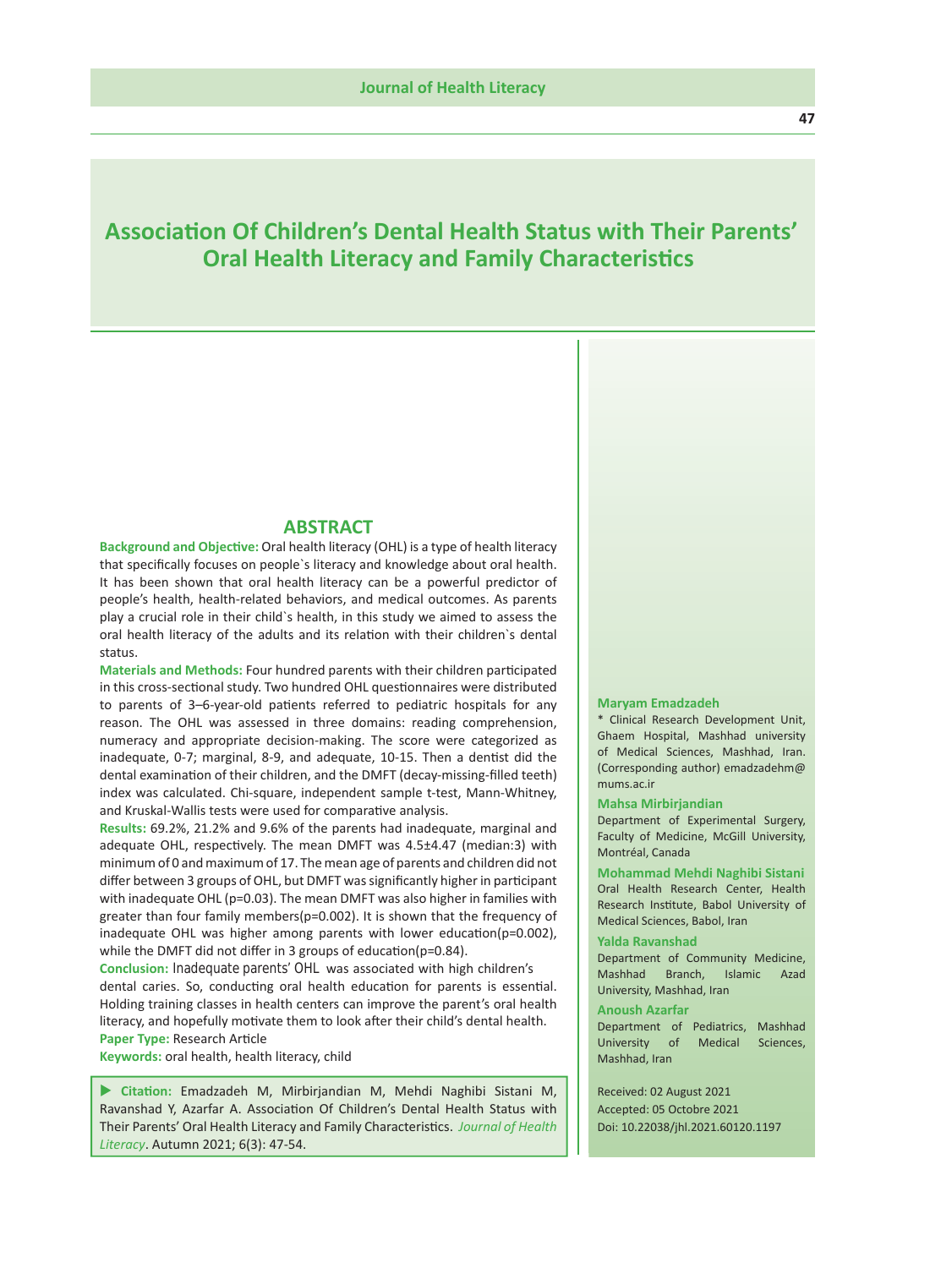# **Association Of Children's Dental Health Status with Their Parents' Oral Health Literacy and Family Characteristics**

### **ABSTRACT**

**Background and Objective:** Oral health literacy (OHL) is a type of health literacy that specifically focuses on people`s literacy and knowledge about oral health. It has been shown that oral health literacy can be a powerful predictor of people's health, health-related behaviors, and medical outcomes. As parents play a crucial role in their child`s health, in this study we aimed to assess the oral health literacy of the adults and its relation with their children`s dental status.

**Materials and Methods:** Four hundred parents with their children participated in this cross-sectional study. Two hundred OHL questionnaires were distributed to parents of 3–6-year-old patients referred to pediatric hospitals for any reason. The OHL was assessed in three domains: reading comprehension, numeracy and appropriate decision-making. The score were categorized as inadequate, 0-7; marginal, 8-9, and adequate, 10-15. Then a dentist did the dental examination of their children, and the DMFT (decay-missing-filled teeth) index was calculated. Chi-square, independent sample t-test, Mann-Whitney, and Kruskal-Wallis tests were used for comparative analysis.

**Results:** 69.2%, 21.2% and 9.6% of the parents had inadequate, marginal and adequate OHL, respectively. The mean DMFT was 4.5±4.47 (median:3) with minimum of 0 and maximum of 17. The mean age of parents and children did not differ between 3 groups of OHL, but DMFT was significantly higher in participant with inadequate OHL (p=0.03). The mean DMFT was also higher in families with greater than four family members(p=0.002). It is shown that the frequency of inadequate OHL was higher among parents with lower education(p=0.002), while the DMFT did not differ in 3 groups of education(p=0.84).

dental caries. So, conducting oral health education for parents is essential. Holding training classes in health centers can improve the parent's oral health literacy, and hopefully motivate them to look after their child's dental health. **Conclusion:** Inadequate parents' OHL was associated with high children's

**Paper Type:** Research Article

**Keywords:** oral health, health literacy, child

 **Citation:** Emadzadeh M, Mirbirjandian M, Mehdi Naghibi Sistani M, Ravanshad Y, Azarfar A. Association Of Children's Dental Health Status with Their Parents' Oral Health Literacy and Family Characteristics. *Journal of Health Literacy*. Autumn 2021; 6(3): 47-54.

#### **Maryam Emadzadeh**

\* Clinical Research Development Unit, Ghaem Hospital, Mashhad university of Medical Sciences, Mashhad, Iran. (Corresponding author) emadzadehm@ mums.ac.ir

#### **Mahsa Mirbirjandian**

Department of Experimental Surgery, Faculty of Medicine, McGill University, Montréal, Canada

**Mohammad Mehdi Naghibi Sistani** Oral Health Research Center, Health Research Institute, Babol University of Medical Sciences, Babol, Iran

#### **Yalda Ravanshad**

Department of Community Medicine, Mashhad Branch, Islamic Azad University, Mashhad, Iran

#### **Anoush Azarfar**

Department of Pediatrics, Mashhad University of Medical Sciences, Mashhad, Iran

 Received: 02 August 2021 Accepted: 05 Octobre 2021 Doi: 10.22038/jhl.2021.60120.1197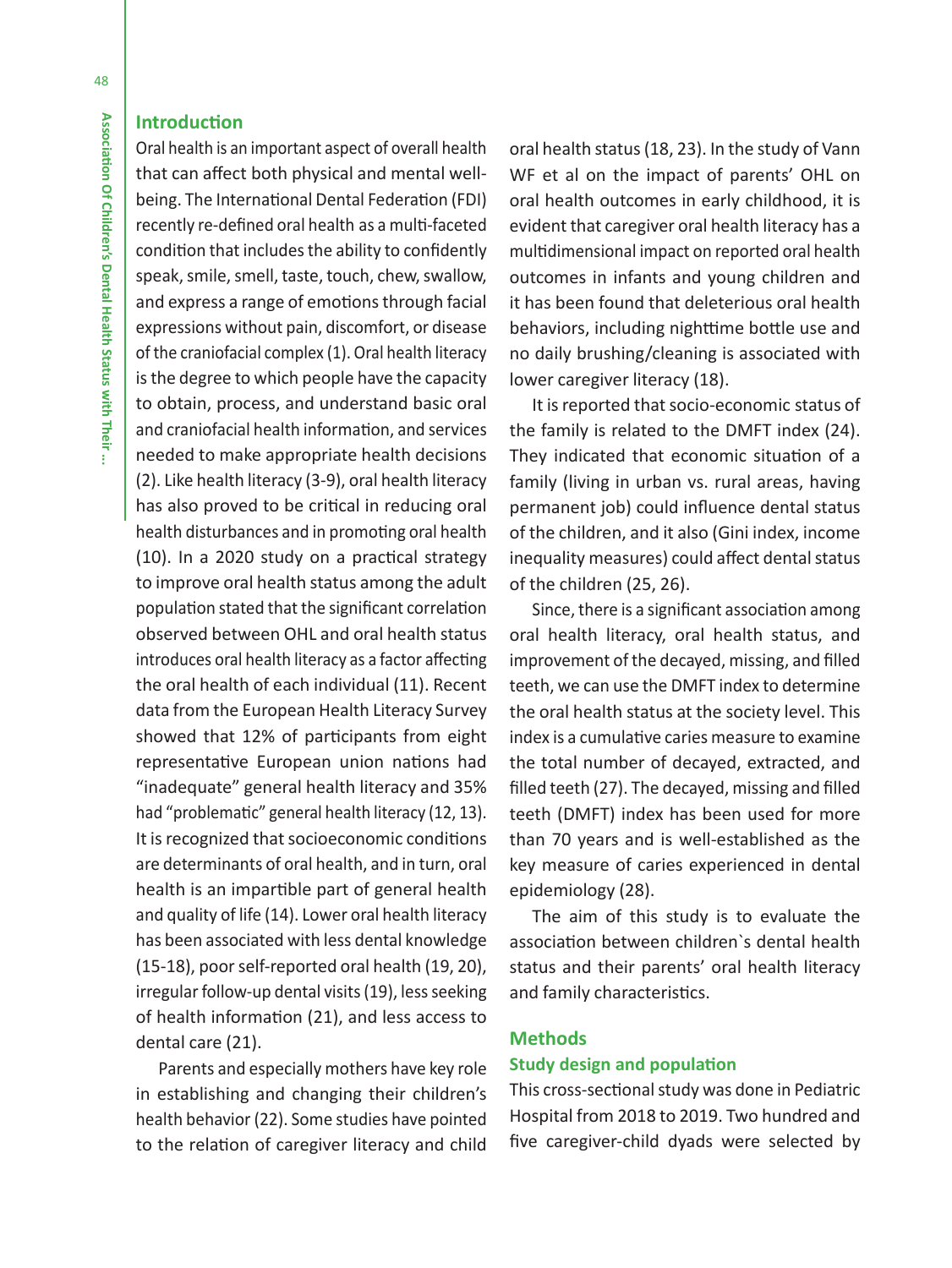# **Introduction**

Oral health is an important aspect of overall health that can affect both physical and mental wellbeing. The International Dental Federation (FDI) recently re-defined oral health as a multi-faceted condition that includes the ability to confidently speak, smile, smell, taste, touch, chew, swallow, and express a range of emotions through facial expressions without pain, discomfort, or disease of the craniofacial complex (1). Oral health literacy is the degree to which people have the capacity to obtain, process, and understand basic oral and craniofacial health information, and services needed to make appropriate health decisions (2). Like health literacy (3-9), oral health literacy has also proved to be critical in reducing oral health disturbances and in promoting oral health (10). In a 2020 study on a practical strategy to improve oral health status among the adult population stated that the significant correlation observed between OHL and oral health status introduces oral health literacy as a factor affecting the oral health of each individual (11). Recent data from the European Health Literacy Survey showed that 12% of participants from eight representative European union nations had "inadequate" general health literacy and 35% had "problematic" general health literacy (12, 13). It is recognized that socioeconomic conditions are determinants of oral health, and in turn, oral health is an impartible part of general health and quality of life (14). Lower oral health literacy has been associated with less dental knowledge (15-18), poor self-reported oral health (19, 20), irregular follow-up dental visits (19), less seeking of health information (21), and less access to dental care (21).

Parents and especially mothers have key role in establishing and changing their children's health behavior (22). Some studies have pointed to the relation of caregiver literacy and child oral health status (18, 23). In the study of Vann WF et al on the impact of parents' OHL on oral health outcomes in early childhood, it is evident that caregiver oral health literacy has a multidimensional impact on reported oral health outcomes in infants and young children and it has been found that deleterious oral health behaviors, including nighttime bottle use and no daily brushing/cleaning is associated with lower caregiver literacy (18).

It is reported that socio-economic status of the family is related to the DMFT index (24). They indicated that economic situation of a family (living in urban vs. rural areas, having permanent job) could influence dental status of the children, and it also (Gini index, income inequality measures) could affect dental status of the children (25, 26).

Since, there is a significant association among oral health literacy, oral health status, and improvement of the decayed, missing, and filled teeth, we can use the DMFT index to determine the oral health status at the society level. This index is a cumulative caries measure to examine the total number of decayed, extracted, and filled teeth (27). The decayed, missing and filled teeth (DMFT) index has been used for more than 70 years and is well-established as the key measure of caries experienced in dental epidemiology (28).

The aim of this study is to evaluate the association between children`s dental health status and their parents' oral health literacy and family characteristics.

# **Methods Study design and population**

This cross-sectional study was done in Pediatric Hospital from 2018 to 2019. Two hundred and five caregiver-child dyads were selected by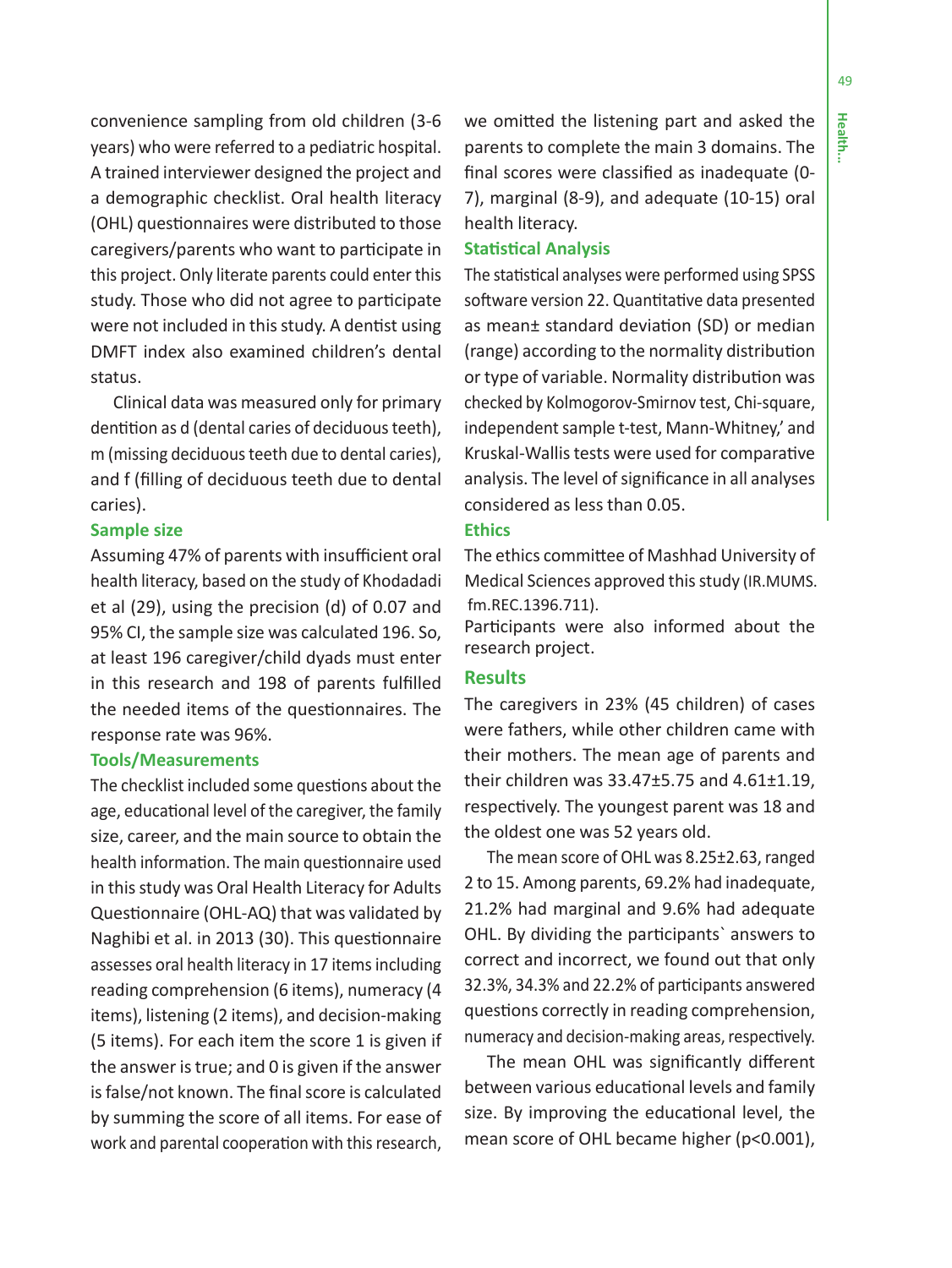49

convenience sampling from old children (3-6 years) who were referred to a pediatric hospital. A trained interviewer designed the project and a demographic checklist. Oral health literacy (OHL) questionnaires were distributed to those caregivers/parents who want to participate in this project. Only literate parents could enter this study. Those who did not agree to participate were not included in this study. A dentist using DMFT index also examined children's dental status.

Clinical data was measured only for primary dentition as d (dental caries of deciduous teeth), m (missing deciduous teeth due to dental caries), and f (filling of deciduous teeth due to dental caries).

# **Sample size**

Assuming 47% of parents with insufficient oral health literacy, based on the study of Khodadadi et al (29), using the precision (d) of 0.07 and 95% CI, the sample size was calculated 196. So, at least 196 caregiver/child dyads must enter in this research and 198 of parents fulfilled the needed items of the questionnaires. The response rate was 96%.

### **Tools/Measurements**

The checklist included some questions about the age, educational level of the caregiver, the family size, career, and the main source to obtain the health information. The main questionnaire used in this study was Oral Health Literacy for Adults Questionnaire (OHL-AQ) that was validated by Naghibi et al. in 2013 (30). This questionnaire assesses oral health literacy in 17 items including reading comprehension (6 items), numeracy (4 items), listening (2 items), and decision-making (5 items). For each item the score 1 is given if the answer is true; and 0 is given if the answer is false/not known. The final score is calculated by summing the score of all items. For ease of work and parental cooperation with this research,

we omitted the listening part and asked the parents to complete the main 3 domains. The final scores were classified as inadequate (0- 7), marginal (8-9), and adequate (10-15) oral health literacy.

### **Statistical Analysis**

The statistical analyses were performed using SPSS software version 22. Quantitative data presented as mean± standard deviation (SD) or median (range) according to the normality distribution or type of variable. Normality distribution was checked by Kolmogorov-Smirnov test, Chi-square, independent sample t-test, Mann-Whitney,' and Kruskal-Wallis tests were used for comparative analysis. The level of significance in all analyses considered as less than 0.05.

# **Ethics**

The ethics committee of Mashhad University of Medical Sciences approved this study (IR.MUMS. fm.REC.1396.711).

Participants were also informed about the research project.

### **Results**

The caregivers in 23% (45 children) of cases were fathers, while other children came with their mothers. The mean age of parents and their children was 33.47±5.75 and 4.61±1.19, respectively. The youngest parent was 18 and the oldest one was 52 years old.

The mean score of OHL was 8.25±2.63, ranged 2 to 15. Among parents, 69.2% had inadequate, 21.2% had marginal and 9.6% had adequate OHL. By dividing the participants` answers to correct and incorrect, we found out that only 32.3%, 34.3% and 22.2% of participants answered questions correctly in reading comprehension, numeracy and decision-making areas, respectively.

The mean OHL was significantly different between various educational levels and family size. By improving the educational level, the mean score of OHL became higher (p<0.001),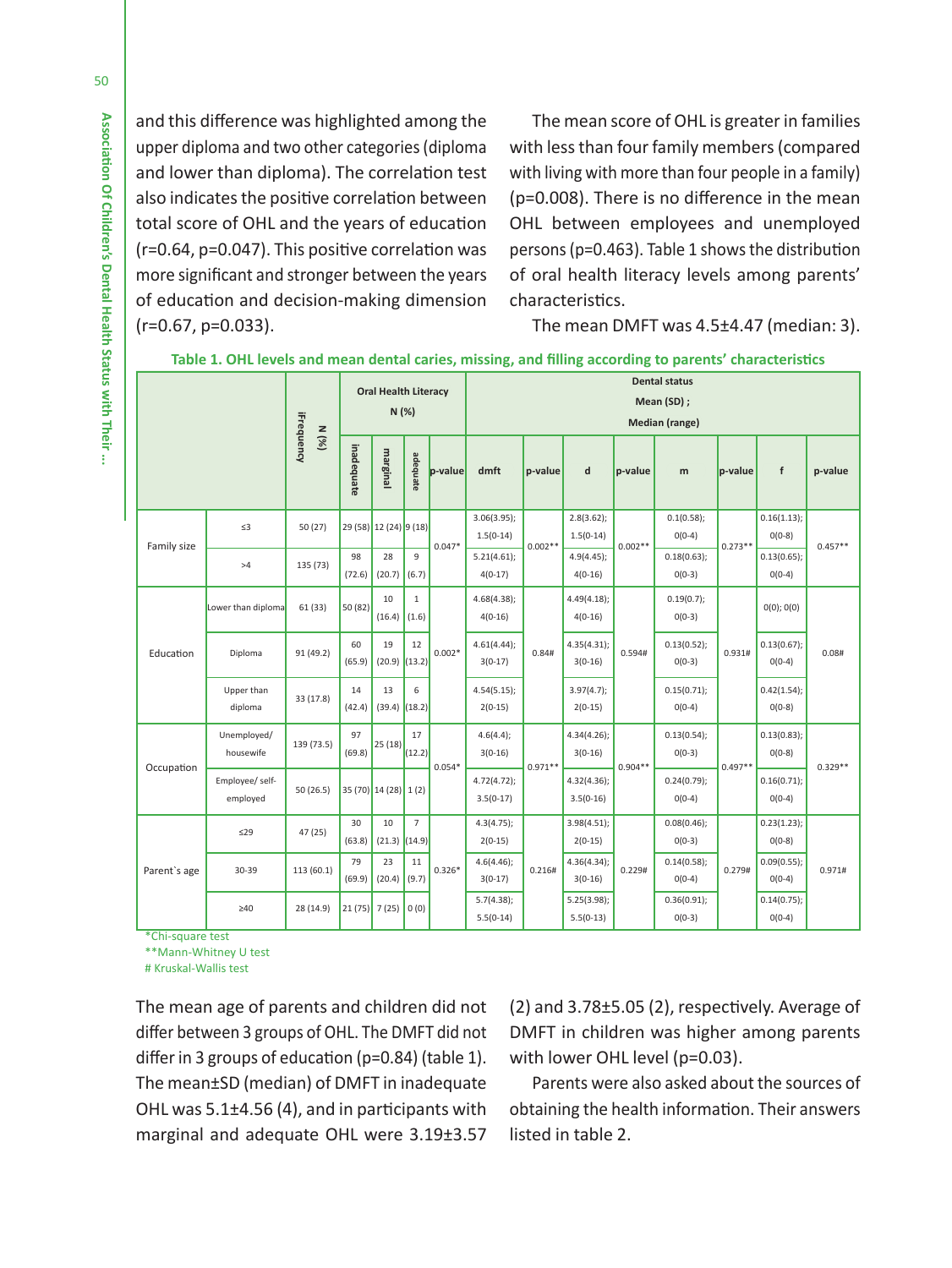and this difference was highlighted among the upper diploma and two other categories (diploma and lower than diploma). The correlation test also indicates the positive correlation between total score of OHL and the years of education (r=0.64, p=0.047). This positive correlation was more significant and stronger between the years of education and decision-making dimension (r=0.67, p=0.033).

The mean score of OHL is greater in families with less than four family members (compared with living with more than four people in a family) (p=0.008). There is no difference in the mean OHL between employees and unemployed persons (p=0.463). Table 1 shows the distribution of oral health literacy levels among parents' characteristics.

The mean DMFT was 4.5±4.47 (median: 3).

**Table 1. OHL levels and mean dental caries, missing, and filling according to parents' characteristics**

|              |                             | <b>iFrequency</b><br>N(%) | <b>Oral Health Literacy</b><br>N(%) |                                          |                       |                         | <b>Dental status</b>          |                          |                              |                         |                            |                         |                         |           |  |
|--------------|-----------------------------|---------------------------|-------------------------------------|------------------------------------------|-----------------------|-------------------------|-------------------------------|--------------------------|------------------------------|-------------------------|----------------------------|-------------------------|-------------------------|-----------|--|
|              |                             |                           |                                     |                                          |                       |                         | Mean (SD);                    |                          |                              |                         |                            |                         |                         |           |  |
|              |                             |                           |                                     |                                          |                       |                         | <b>Median (range)</b>         |                          |                              |                         |                            |                         |                         |           |  |
|              |                             |                           | inadequate                          | marginal                                 | adequate              | p-value                 | dmft                          | p-value                  | d                            | p-value                 | m                          | p-value                 | $\mathbf{f}$            | p-value   |  |
| Family size  | $\leq$ 3                    | 50(27)                    |                                     | 29 (58) 12 (24) 9 (18)                   |                       | $0.047*$                | 3.06(3.95);<br>$1.5(0-14)$    | $0.002**$                | $2.8(3.62)$ ;<br>$1.5(0-14)$ | $0.002**$               | 0.1(0.58);<br>$0(0-4)$     | $0.273**$               | 0.16(1.13);<br>$0(0-8)$ | $0.457**$ |  |
|              | >4                          | 135 (73)                  | 98<br>(72.6)                        | 28<br>(20.7)                             | $\mathbf{q}$<br>(6.7) |                         | 5.21(4.61);<br>$4(0-17)$      |                          | $4.9(4.45)$ ;<br>$4(0-16)$   |                         | 0.18(0.63);<br>$0(0-3)$    |                         | 0.13(0.65);<br>$0(0-4)$ |           |  |
| Education    | Lower than diploma          | 61(33)                    | 50 (82)                             | 10<br>(16.4)                             | $\mathbf{1}$<br>(1.6) | $0.002*$                | 4.68(4.38);<br>$4(0-16)$      | 0.84#                    | 4.49(4.18);<br>$4(0-16)$     | 0.594#                  | 0.19(0.7);<br>$0(0-3)$     | 0.931#                  | 0(0); 0(0)              | 0.08#     |  |
|              | Diploma                     | 91 (49.2)                 | 60<br>(65.9)                        | 19<br>(20.9)                             | 12<br>(13.2)          |                         | 4.61(4.44);<br>$3(0-17)$      |                          | 4.35(4.31);<br>$3(0-16)$     |                         | 0.13(0.52);<br>$0(0-3)$    |                         | 0.13(0.67);<br>$0(0-4)$ |           |  |
|              | Upper than<br>diploma       | 33 (17.8)                 | 14<br>(42.4)                        | 13<br>(39.4)                             | 6<br>(18.2)           |                         | 4.54(5.15);<br>$2(0-15)$      |                          | 3.97(4.7);<br>$2(0-15)$      |                         | 0.15(0.71);<br>$0(0-4)$    |                         | 0.42(1.54);<br>$0(0-8)$ |           |  |
| Occupation   | Unemployed/<br>housewife    | 139 (73.5)                | 97<br>(69.8)                        | 25(18)                                   | 17<br>(12.2)          | $0.054*$                | 4.6(4.4);<br>$3(0-16)$        | $0.971**$                | 4.34(4.26);<br>$3(0-16)$     | $0.904**$               | 0.13(0.54);<br>$0(0-3)$    | $0.497**$               | 0.13(0.83);<br>$0(0-8)$ | $0.329**$ |  |
|              | Employee/ self-<br>employed | 50(26.5)                  |                                     | 35 (70) 14 (28) 1 (2)                    |                       |                         | $4.72(4.72)$ ;<br>$3.5(0-17)$ |                          | 4.32(4.36);<br>$3.5(0-16)$   |                         | $0.24(0.79)$ ;<br>$0(0-4)$ |                         | 0.16(0.71);<br>$0(0-4)$ |           |  |
| Parent's age | ≤29                         | 47 (25)                   | 30<br>(63.8)                        | $\overline{7}$<br>10<br>(21.3)<br>(14.9) |                       | 4.3(4.75);<br>$2(0-15)$ |                               | 3.98(4.51);<br>$2(0-15)$ |                              | 0.08(0.46);<br>$0(0-3)$ |                            | 0.23(1.23);<br>$0(0-8)$ |                         |           |  |
|              | 30-39                       | 113 (60.1)                | 79<br>(69.9)                        | 23<br>(20.4)                             | $11\,$<br>(9.7)       | $0.326*$                | 4.6(4.46);<br>$3(0-17)$       | 0.216#                   | 4.36(4.34);<br>$3(0-16)$     | 0.229#                  | 0.14(0.58);<br>$0(0-4)$    | 0.279#                  | 0.09(0.55);<br>$0(0-4)$ | 0.971#    |  |
|              | $\geq 40$                   | 28 (14.9)                 | $21(75)$ 7 (25) 0 (0)               |                                          |                       |                         | 5.7(4.38);<br>$5.5(0-14)$     |                          | 5.25(3.98);<br>$5.5(0-13)$   |                         | 0.36(0.91);<br>$0(0-3)$    |                         | 0.14(0.75);<br>$0(0-4)$ |           |  |

\*Chi-square test

\*\*Mann-Whitney U test

# Kruskal-Wallis test

The mean age of parents and children did not differ between 3 groups of OHL. The DMFT did not differ in 3 groups of education (p=0.84) (table 1). The mean±SD (median) of DMFT in inadequate OHL was 5.1±4.56 (4), and in participants with marginal and adequate OHL were 3.19±3.57

(2) and 3.78±5.05 (2), respectively. Average of DMFT in children was higher among parents with lower OHL level (p=0.03).

Parents were also asked about the sources of obtaining the health information. Their answers listed in table 2.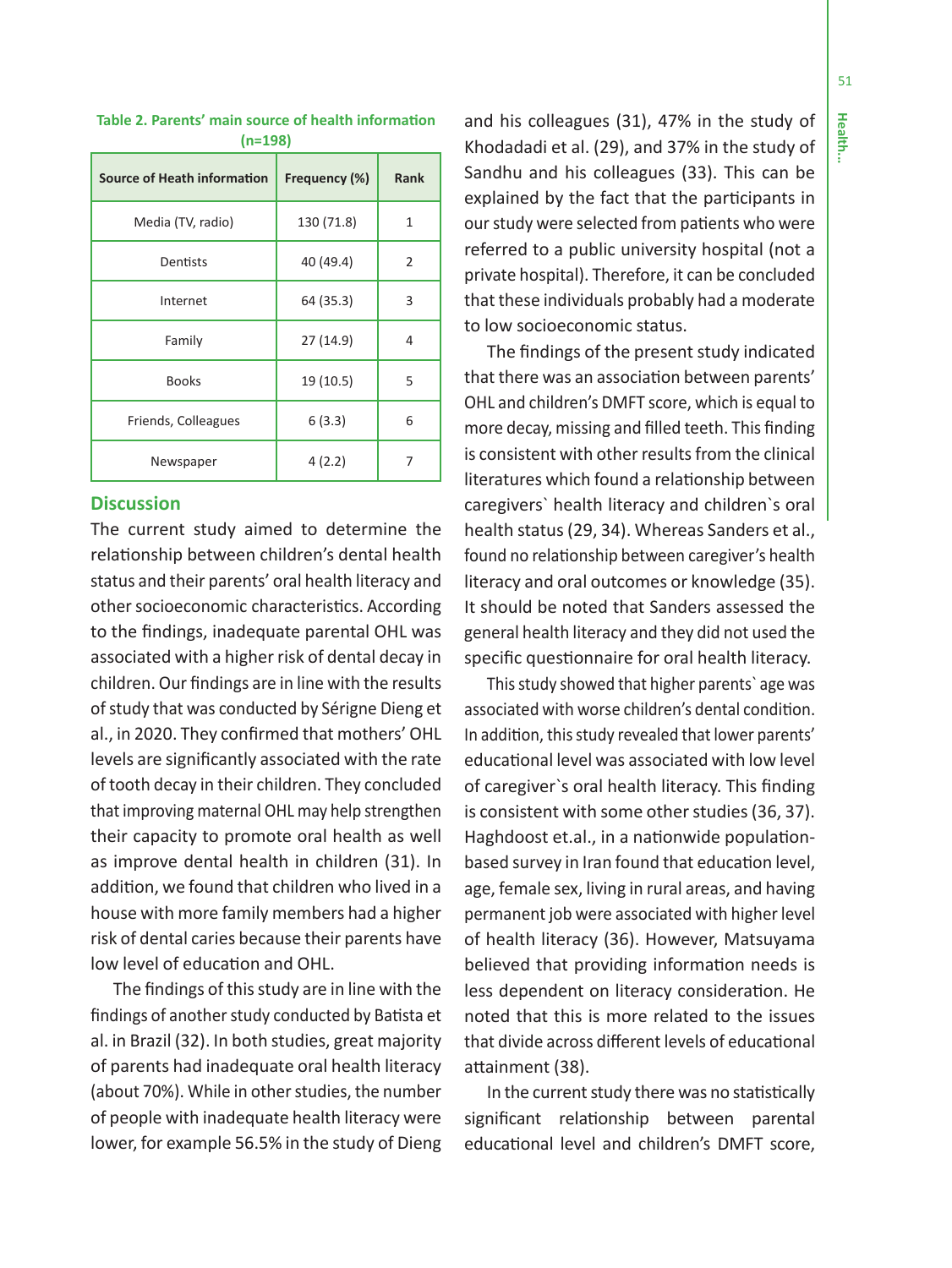51

| <b>Source of Heath information</b> | Frequency (%) | <b>Rank</b> |
|------------------------------------|---------------|-------------|
| Media (TV, radio)                  | 130 (71.8)    | 1           |
| Dentists                           | 40 (49.4)     | 2           |
| Internet                           | 64 (35.3)     | 3           |
| Family                             | 27(14.9)      | 4           |
| <b>Books</b>                       | 19 (10.5)     | 5           |
| Friends, Colleagues                | 6(3.3)        | 6           |
| Newspaper                          | 4(2.2)        | 7           |

#### **Table 2. Parents' main source of health information (n=198)**

# **Discussion**

The current study aimed to determine the relationship between children's dental health status and their parents' oral health literacy and other socioeconomic characteristics. According to the findings, inadequate parental OHL was associated with a higher risk of dental decay in children. Our findings are in line with the results of study that was conducted by Sérigne Dieng et al., in 2020. They confirmed that mothers' OHL levels are significantly associated with the rate of tooth decay in their children. They concluded that improving maternal OHL may help strengthen their capacity to promote oral health as well as improve dental health in children (31). In addition, we found that children who lived in a house with more family members had a higher risk of dental caries because their parents have low level of education and OHL.

The findings of this study are in line with the findings of another study conducted by Batista et al. in Brazil (32). In both studies, great majority of parents had inadequate oral health literacy (about 70%). While in other studies, the number of people with inadequate health literacy were lower, for example 56.5% in the study of Dieng

and his colleagues (31), 47% in the study of Khodadadi et al. (29), and 37% in the study of Sandhu and his colleagues (33). This can be explained by the fact that the participants in our study were selected from patients who were referred to a public university hospital (not a private hospital). Therefore, it can be concluded that these individuals probably had a moderate to low socioeconomic status.

The findings of the present study indicated that there was an association between parents' OHL and children's DMFT score, which is equal to more decay, missing and filled teeth. This finding is consistent with other results from the clinical literatures which found a relationship between caregivers` health literacy and children`s oral health status (29, 34). Whereas Sanders et al., found no relationship between caregiver's health literacy and oral outcomes or knowledge (35). It should be noted that Sanders assessed the general health literacy and they did not used the specific questionnaire for oral health literacy.

This study showed that higher parents` age was associated with worse children's dental condition. In addition, this study revealed that lower parents' educational level was associated with low level of caregiver`s oral health literacy. This finding is consistent with some other studies (36, 37). Haghdoost et.al., in a nationwide populationbased survey in Iran found that education level, age, female sex, living in rural areas, and having permanent job were associated with higher level of health literacy (36). However, Matsuyama believed that providing information needs is less dependent on literacy consideration. He noted that this is more related to the issues that divide across different levels of educational attainment (38).

In the current study there was no statistically significant relationship between parental educational level and children's DMFT score,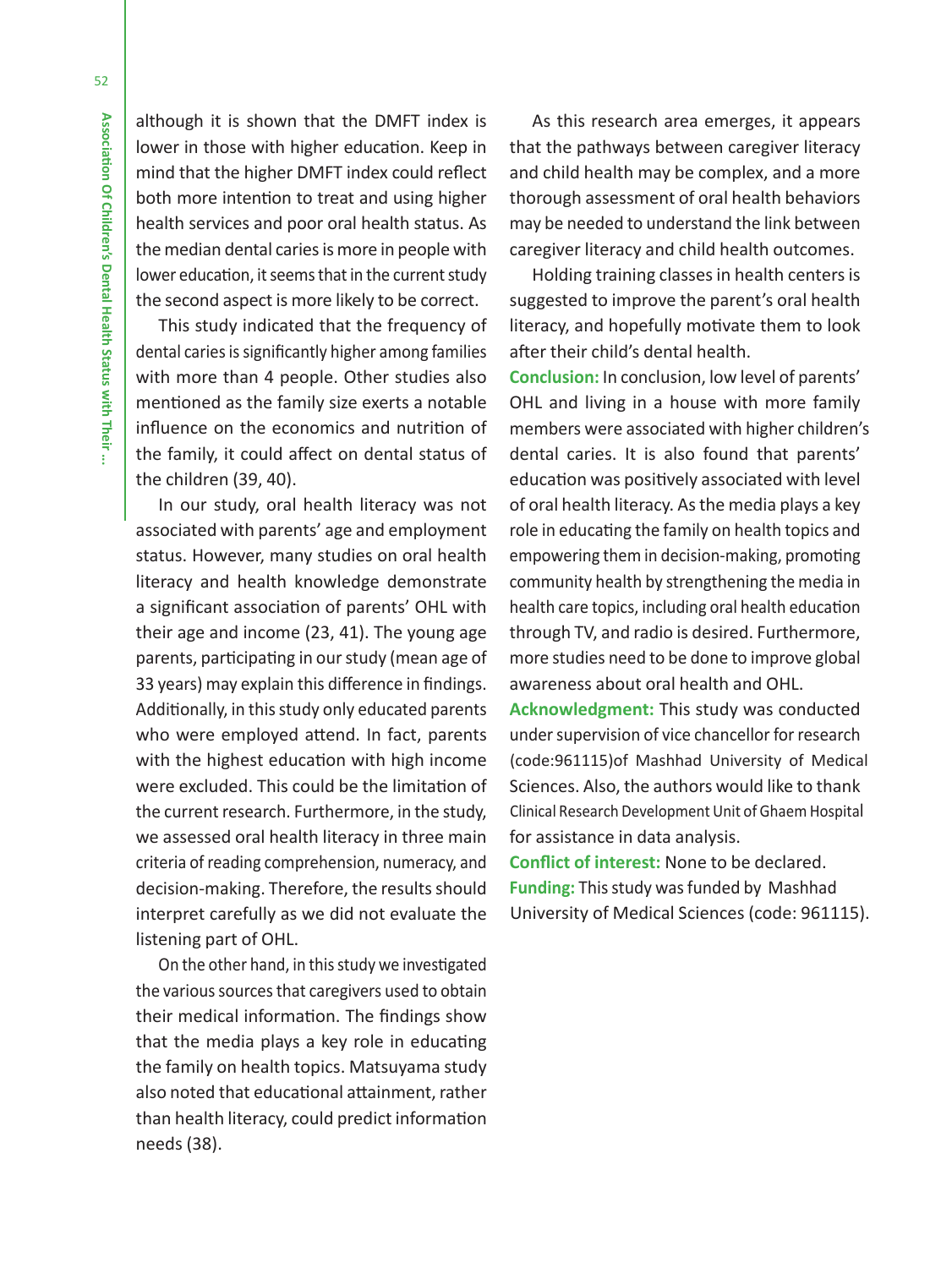although it is shown that the DMFT index is lower in those with higher education. Keep in mind that the higher DMFT index could reflect both more intention to treat and using higher health services and poor oral health status. As the median dental caries is more in people with lower education, it seems that in the current study the second aspect is more likely to be correct.

This study indicated that the frequency of dental caries is significantly higher among families with more than 4 people. Other studies also mentioned as the family size exerts a notable influence on the economics and nutrition of the family, it could affect on dental status of the children (39, 40).

In our study, oral health literacy was not associated with parents' age and employment status. However, many studies on oral health literacy and health knowledge demonstrate a significant association of parents' OHL with their age and income (23, 41). The young age parents, participating in our study (mean age of 33 years) may explain this difference in findings. Additionally, in this study only educated parents who were employed attend. In fact, parents with the highest education with high income were excluded. This could be the limitation of the current research. Furthermore, in the study, we assessed oral health literacy in three main criteria of reading comprehension, numeracy, and decision-making. Therefore, the results should interpret carefully as we did not evaluate the listening part of OHL.

On the other hand, in this study we investigated the various sources that caregivers used to obtain their medical information. The findings show that the media plays a key role in educating the family on health topics. Matsuyama study also noted that educational attainment, rather than health literacy, could predict information needs (38).

As this research area emerges, it appears that the pathways between caregiver literacy and child health may be complex, and a more thorough assessment of oral health behaviors may be needed to understand the link between caregiver literacy and child health outcomes.

Holding training classes in health centers is suggested to improve the parent's oral health literacy, and hopefully motivate them to look after their child's dental health.

**Conclusion:** In conclusion, low level of parents' education was positively associated with level of oral health literacy. As the media plays a key role in educating the family on health topics and empowering them in decision-making, promoting community health by strengthening the media in health care topics, including oral health education through TV, and radio is desired. Furthermore, more studies need to be done to improve global awareness about oral health and OHL. dental caries. It is also found that parents' OHL and living in a house with more family members were associated with higher children's

**Acknowledgment:** This study was conducted under supervision of vice chancellor for research Sciences. Also, the authors would like to thank for assistance in data analysis. (code:961115)of Mashhad University of Medical Clinical Research Development Unit of Ghaem Hospital

**Conflict of interest:** None to be declared. University of Medical Sciences (code: 961115). **Funding:** This study was funded by Mashhad

52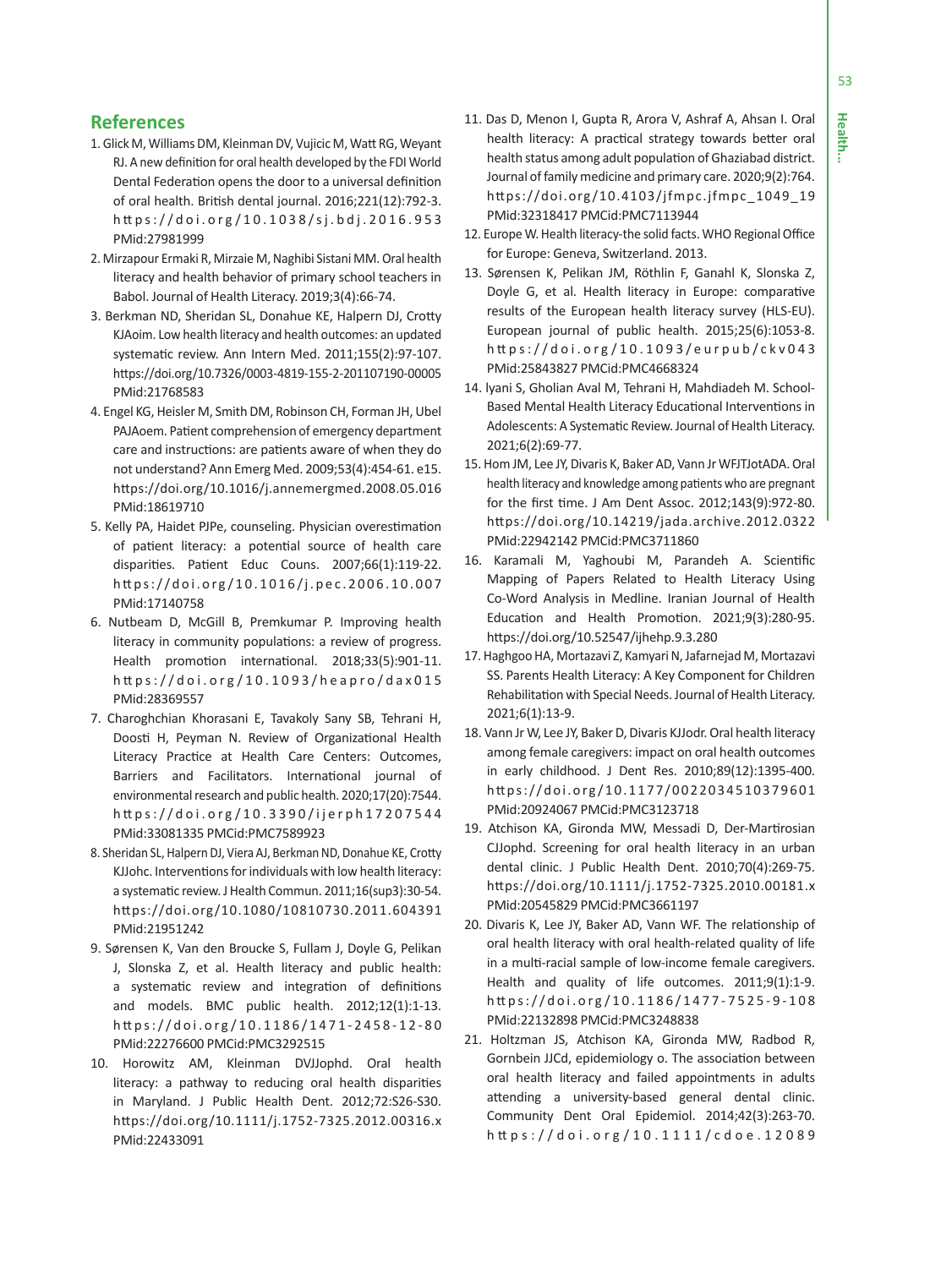53

# **References**

- 1. Glick M, Williams DM, Kleinman DV, Vujicic M, Watt RG, Weyant RJ. A new definition for oral health developed by the FDI World Dental Federation opens the door to a universal definition of oral health. British dental journal. 2016;221(12):792-3. h tt ps://doi.org/10.1038/sj.bdj.2016.953 PMid:27981999
- 2. Mirzapour Ermaki R, Mirzaie M, Naghibi Sistani MM. Oral health literacy and health behavior of primary school teachers in Babol. Journal of Health Literacy. 2019;3(4):66-74.
- 3. Berkman ND, Sheridan SL, Donahue KE, Halpern DJ, Crotty KJAoim. Low health literacy and health outcomes: an updated systematic review. Ann Intern Med. 2011;155(2):97-107. https://doi.org/10.7326/0003-4819-155-2-201107190-00005 PMid:21768583
- 4. Engel KG, Heisler M, Smith DM, Robinson CH, Forman JH, Ubel PAJAoem. Patient comprehension of emergency department care and instructions: are patients aware of when they do not understand? Ann Emerg Med. 2009;53(4):454-61. e15. https://doi.org/10.1016/j.annemergmed.2008.05.016 PMid:18619710
- 5. Kelly PA, Haidet PJPe, counseling. Physician overestimation of patient literacy: a potential source of health care disparities. Patient Educ Couns. 2007;66(1):119-22. https://doi.org/10.1016/j.pec.2006.10.007 PMid:17140758
- 6. Nutbeam D, McGill B, Premkumar P. Improving health literacy in community populations: a review of progress. Health promotion international. 2018;33(5):901-11. h tt ps://doi.org/10.1093/heapro/dax015 PMid:28369557
- 7. Charoghchian Khorasani E, Tavakoly Sany SB, Tehrani H, Doosti H, Peyman N. Review of Organizational Health Literacy Practice at Health Care Centers: Outcomes, Barriers and Facilitators. International journal of environmental research and public health. 2020;17(20):7544. h tt ps://doi.org/10.3390/ijerph17207544 PMid:33081335 PMCid:PMC7589923
- 8. Sheridan SL, Halpern DJ, Viera AJ, Berkman ND, Donahue KE, Crotty KJJohc. Interventions for individuals with low health literacy: a systematic review. J Health Commun. 2011;16(sup3):30-54. https://doi.org/10.1080/10810730.2011.604391 PMid:21951242
- 9. Sørensen K, Van den Broucke S, Fullam J, Doyle G, Pelikan J, Slonska Z, et al. Health literacy and public health: a systematic review and integration of definitions and models. BMC public health. 2012;12(1):1-13. https://doi.org/10.1186/1471-2458-12-80 PMid:22276600 PMCid:PMC3292515
- 10. Horowitz AM, Kleinman DVJJophd. Oral health literacy: a pathway to reducing oral health disparities in Maryland. J Public Health Dent. 2012;72:S26-S30. https://doi.org/10.1111/j.1752-7325.2012.00316.x PMid:22433091
- 11. Das D, Menon I, Gupta R, Arora V, Ashraf A, Ahsan I. Oral health literacy: A practical strategy towards better oral health status among adult population of Ghaziabad district. Journal of family medicine and primary care. 2020;9(2):764. https://doi.org/10.4103/jfmpc.jfmpc\_1049\_19 PMid:32318417 PMCid:PMC7113944
- 12. Europe W. Health literacy-the solid facts. WHO Regional Office for Europe: Geneva, Switzerland. 2013.
- 13. Sørensen K, Pelikan JM, Röthlin F, Ganahl K, Slonska Z, Doyle G, et al. Health literacy in Europe: comparative results of the European health literacy survey (HLS-EU). European journal of public health. 2015;25(6):1053-8. h tt ps://doi.org/10.1093/eurpub/ckv043 PMid:25843827 PMCid:PMC4668324
- 14. lyani S, Gholian Aval M, Tehrani H, Mahdiadeh M. School-Based Mental Health Literacy Educational Interventions in Adolescents: A Systematic Review. Journal of Health Literacy. 2021;6(2):69-77.
- 15. Hom JM, Lee JY, Divaris K, Baker AD, Vann Jr WFJTJotADA. Oral health literacy and knowledge among patients who are pregnant for the first time. J Am Dent Assoc. 2012;143(9):972-80. https://doi.org/10.14219/jada.archive.2012.0322 PMid:22942142 PMCid:PMC3711860
- 16. Karamali M, Yaghoubi M, Parandeh A. Scientific Mapping of Papers Related to Health Literacy Using Co-Word Analysis in Medline. Iranian Journal of Health Education and Health Promotion. 2021;9(3):280-95. https://doi.org/10.52547/ijhehp.9.3.280
- 17. Haghgoo HA, Mortazavi Z, Kamyari N, Jafarnejad M, Mortazavi SS. Parents Health Literacy: A Key Component for Children Rehabilitation with Special Needs. Journal of Health Literacy. 2021;6(1):13-9.
- 18. Vann Jr W, Lee JY, Baker D, Divaris KJJodr. Oral health literacy among female caregivers: impact on oral health outcomes in early childhood. J Dent Res. 2010;89(12):1395-400. https://doi.org/10.1177/0022034510379601 PMid:20924067 PMCid:PMC3123718
- 19. Atchison KA, Gironda MW, Messadi D, Der-Martirosian CJJophd. Screening for oral health literacy in an urban dental clinic. J Public Health Dent. 2010;70(4):269-75. https://doi.org/10.1111/j.1752-7325.2010.00181.x PMid:20545829 PMCid:PMC3661197
- 20. Divaris K, Lee JY, Baker AD, Vann WF. The relationship of oral health literacy with oral health-related quality of life in a multi-racial sample of low-income female caregivers. Health and quality of life outcomes. 2011;9(1):1-9. https://doi.org/10.1186/1477-7525-9-108 PMid:22132898 PMCid:PMC3248838
- 21. Holtzman JS, Atchison KA, Gironda MW, Radbod R, Gornbein JJCd, epidemiology o. The association between oral health literacy and failed appointments in adults attending a university-based general dental clinic. Community Dent Oral Epidemiol. 2014;42(3):263-70. h tt ps://doi.org/10.1111/cdoe.12089